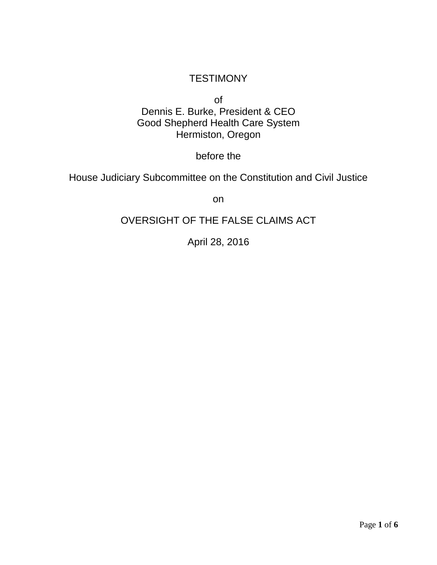## **TESTIMONY**

of Dennis E. Burke, President & CEO Good Shepherd Health Care System Hermiston, Oregon

before the

House Judiciary Subcommittee on the Constitution and Civil Justice

on

## OVERSIGHT OF THE FALSE CLAIMS ACT

April 28, 2016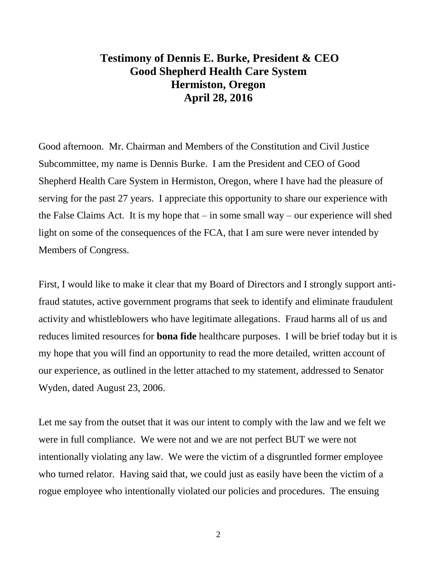## **Testimony of Dennis E. Burke, President & CEO Good Shepherd Health Care System Hermiston, Oregon April 28, 2016**

Good afternoon. Mr. Chairman and Members of the Constitution and Civil Justice Subcommittee, my name is Dennis Burke. I am the President and CEO of Good Shepherd Health Care System in Hermiston, Oregon, where I have had the pleasure of serving for the past 27 years. I appreciate this opportunity to share our experience with the False Claims Act. It is my hope that – in some small way – our experience will shed light on some of the consequences of the FCA, that I am sure were never intended by Members of Congress.

First, I would like to make it clear that my Board of Directors and I strongly support antifraud statutes, active government programs that seek to identify and eliminate fraudulent activity and whistleblowers who have legitimate allegations. Fraud harms all of us and reduces limited resources for **bona fide** healthcare purposes. I will be brief today but it is my hope that you will find an opportunity to read the more detailed, written account of our experience, as outlined in the letter attached to my statement, addressed to Senator Wyden, dated August 23, 2006.

Let me say from the outset that it was our intent to comply with the law and we felt we were in full compliance. We were not and we are not perfect BUT we were not intentionally violating any law. We were the victim of a disgruntled former employee who turned relator. Having said that, we could just as easily have been the victim of a rogue employee who intentionally violated our policies and procedures. The ensuing

2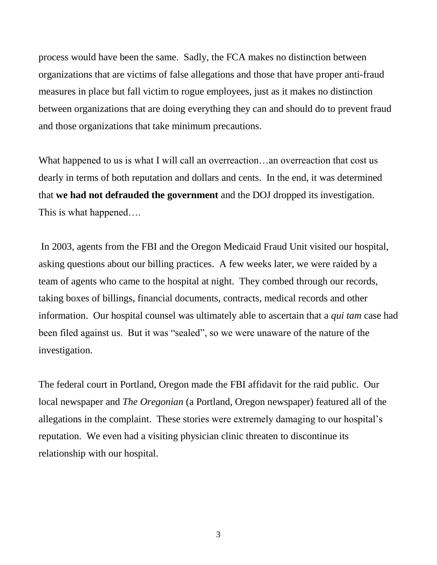process would have been the same. Sadly, the FCA makes no distinction between organizations that are victims of false allegations and those that have proper anti-fraud measures in place but fall victim to rogue employees, just as it makes no distinction between organizations that are doing everything they can and should do to prevent fraud and those organizations that take minimum precautions.

What happened to us is what I will call an overreaction...an overreaction that cost us dearly in terms of both reputation and dollars and cents. In the end, it was determined that **we had not defrauded the government** and the DOJ dropped its investigation. This is what happened….

In 2003, agents from the FBI and the Oregon Medicaid Fraud Unit visited our hospital, asking questions about our billing practices. A few weeks later, we were raided by a team of agents who came to the hospital at night. They combed through our records, taking boxes of billings, financial documents, contracts, medical records and other information. Our hospital counsel was ultimately able to ascertain that a *qui tam* case had been filed against us. But it was "sealed", so we were unaware of the nature of the investigation.

The federal court in Portland, Oregon made the FBI affidavit for the raid public. Our local newspaper and *The Oregonian* (a Portland, Oregon newspaper) featured all of the allegations in the complaint. These stories were extremely damaging to our hospital's reputation. We even had a visiting physician clinic threaten to discontinue its relationship with our hospital.

3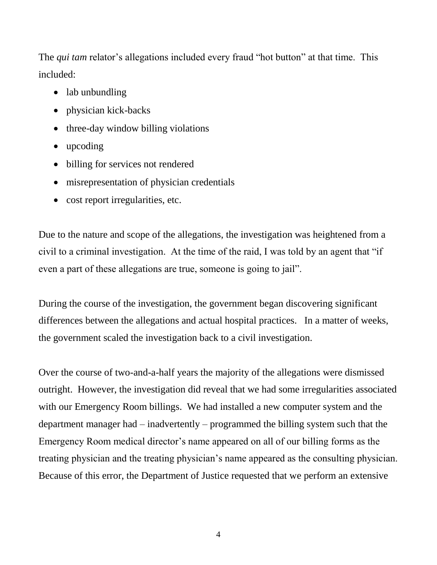The *qui tam* relator's allegations included every fraud "hot button" at that time. This included:

- lab unbundling
- physician kick-backs
- three-day window billing violations
- upcoding
- billing for services not rendered
- misrepresentation of physician credentials
- cost report irregularities, etc.

Due to the nature and scope of the allegations, the investigation was heightened from a civil to a criminal investigation. At the time of the raid, I was told by an agent that "if even a part of these allegations are true, someone is going to jail".

During the course of the investigation, the government began discovering significant differences between the allegations and actual hospital practices. In a matter of weeks, the government scaled the investigation back to a civil investigation.

Over the course of two-and-a-half years the majority of the allegations were dismissed outright. However, the investigation did reveal that we had some irregularities associated with our Emergency Room billings. We had installed a new computer system and the department manager had – inadvertently – programmed the billing system such that the Emergency Room medical director's name appeared on all of our billing forms as the treating physician and the treating physician's name appeared as the consulting physician. Because of this error, the Department of Justice requested that we perform an extensive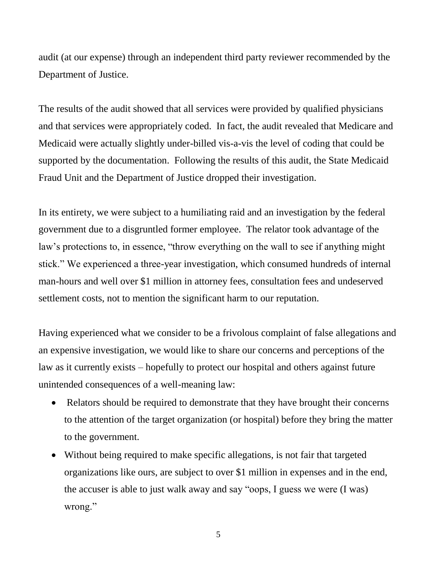audit (at our expense) through an independent third party reviewer recommended by the Department of Justice.

The results of the audit showed that all services were provided by qualified physicians and that services were appropriately coded. In fact, the audit revealed that Medicare and Medicaid were actually slightly under-billed vis-a-vis the level of coding that could be supported by the documentation. Following the results of this audit, the State Medicaid Fraud Unit and the Department of Justice dropped their investigation.

In its entirety, we were subject to a humiliating raid and an investigation by the federal government due to a disgruntled former employee. The relator took advantage of the law's protections to, in essence, "throw everything on the wall to see if anything might stick." We experienced a three-year investigation, which consumed hundreds of internal man-hours and well over \$1 million in attorney fees, consultation fees and undeserved settlement costs, not to mention the significant harm to our reputation.

Having experienced what we consider to be a frivolous complaint of false allegations and an expensive investigation, we would like to share our concerns and perceptions of the law as it currently exists – hopefully to protect our hospital and others against future unintended consequences of a well-meaning law:

- Relators should be required to demonstrate that they have brought their concerns to the attention of the target organization (or hospital) before they bring the matter to the government.
- Without being required to make specific allegations, is not fair that targeted organizations like ours, are subject to over \$1 million in expenses and in the end, the accuser is able to just walk away and say "oops, I guess we were (I was) wrong."

5